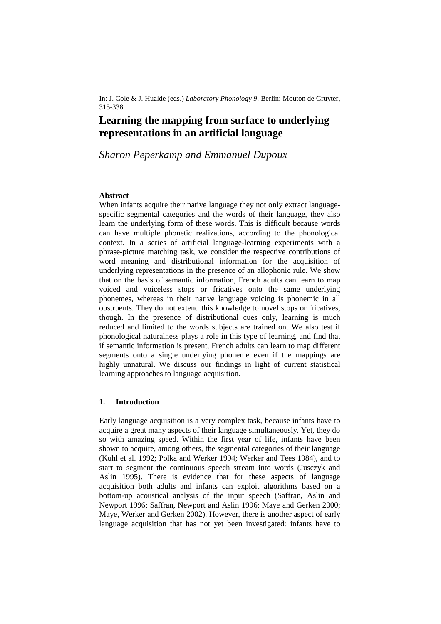In: J. Cole & J. Hualde (eds.) *Laboratory Phonology 9*. Berlin: Mouton de Gruyter, 315-338

# **Learning the mapping from surface to underlying representations in an artificial language**

## *Sharon Peperkamp and Emmanuel Dupoux*

### **Abstract**

When infants acquire their native language they not only extract languagespecific segmental categories and the words of their language, they also learn the underlying form of these words. This is difficult because words can have multiple phonetic realizations, according to the phonological context. In a series of artificial language-learning experiments with a phrase-picture matching task, we consider the respective contributions of word meaning and distributional information for the acquisition of underlying representations in the presence of an allophonic rule. We show that on the basis of semantic information, French adults can learn to map voiced and voiceless stops or fricatives onto the same underlying phonemes, whereas in their native language voicing is phonemic in all obstruents. They do not extend this knowledge to novel stops or fricatives, though. In the presence of distributional cues only, learning is much reduced and limited to the words subjects are trained on. We also test if phonological naturalness plays a role in this type of learning, and find that if semantic information is present, French adults can learn to map different segments onto a single underlying phoneme even if the mappings are highly unnatural. We discuss our findings in light of current statistical learning approaches to language acquisition.

### **1. Introduction**

Early language acquisition is a very complex task, because infants have to acquire a great many aspects of their language simultaneously. Yet, they do so with amazing speed. Within the first year of life, infants have been shown to acquire, among others, the segmental categories of their language (Kuhl et al. 1992; Polka and Werker 1994; Werker and Tees 1984), and to start to segment the continuous speech stream into words (Jusczyk and Aslin 1995). There is evidence that for these aspects of language acquisition both adults and infants can exploit algorithms based on a bottom-up acoustical analysis of the input speech (Saffran, Aslin and Newport 1996; Saffran, Newport and Aslin 1996; Maye and Gerken 2000; Maye, Werker and Gerken 2002). However, there is another aspect of early language acquisition that has not yet been investigated: infants have to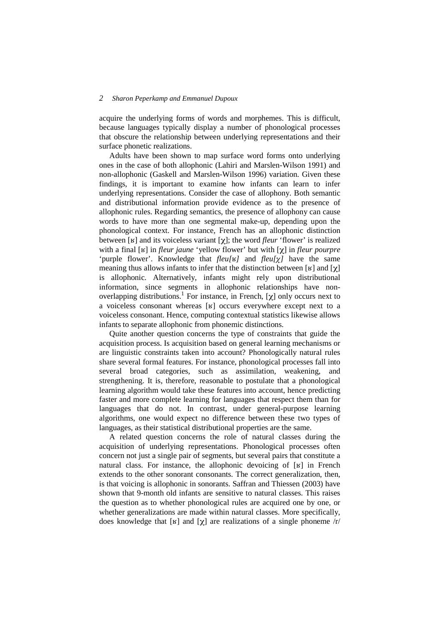acquire the underlying forms of words and morphemes. This is difficult, because languages typically display a number of phonological processes that obscure the relationship between underlying representations and their surface phonetic realizations.

Adults have been shown to map surface word forms onto underlying ones in the case of both allophonic (Lahiri and Marslen-Wilson 1991) and non-allophonic (Gaskell and Marslen-Wilson 1996) variation. Given these findings, it is important to examine how infants can learn to infer underlying representations. Consider the case of allophony. Both semantic and distributional information provide evidence as to the presence of allophonic rules. Regarding semantics, the presence of allophony can cause words to have more than one segmental make-up, depending upon the phonological context. For instance, French has an allophonic distinction between [ $\mathbf{F}$ ] and its voiceless variant [ $\chi$ ]; the word *fleur* 'flower' is realized with a final [ʁ] in *fleur jaune* 'yellow flower' but with [x] in *fleur pourpre* 'purple flower'. Knowledge that *fleu[y]* and *fleu[* $\chi$ *]* have the same meaning thus allows infants to infer that the distinction between [ $\mathbf{F}$ ] and [ $\chi$ ] is allophonic. Alternatively, infants might rely upon distributional information, since segments in allophonic relationships have nonoverlapping distributions.<sup>1</sup> For instance, in French, [ $\chi$ ] only occurs next to a voiceless consonant whereas [K] occurs everywhere except next to a voiceless consonant. Hence, computing contextual statistics likewise allows infants to separate allophonic from phonemic distinctions.

Quite another question concerns the type of constraints that guide the acquisition process. Is acquisition based on general learning mechanisms or are linguistic constraints taken into account? Phonologically natural rules share several formal features. For instance, phonological processes fall into several broad categories, such as assimilation, weakening, and strengthening. It is, therefore, reasonable to postulate that a phonological learning algorithm would take these features into account, hence predicting faster and more complete learning for languages that respect them than for languages that do not. In contrast, under general-purpose learning algorithms, one would expect no difference between these two types of languages, as their statistical distributional properties are the same.

A related question concerns the role of natural classes during the acquisition of underlying representations. Phonological processes often concern not just a single pair of segments, but several pairs that constitute a natural class. For instance, the allophonic devoicing of  $[K]$  in French extends to the other sonorant consonants. The correct generalization, then, is that voicing is allophonic in sonorants. Saffran and Thiessen (2003) have shown that 9-month old infants are sensitive to natural classes. This raises the question as to whether phonological rules are acquired one by one, or whether generalizations are made within natural classes. More specifically, does knowledge that [ $\mathbf{K}$ ] and  $[\boldsymbol{\chi}]$  are realizations of a single phoneme /r/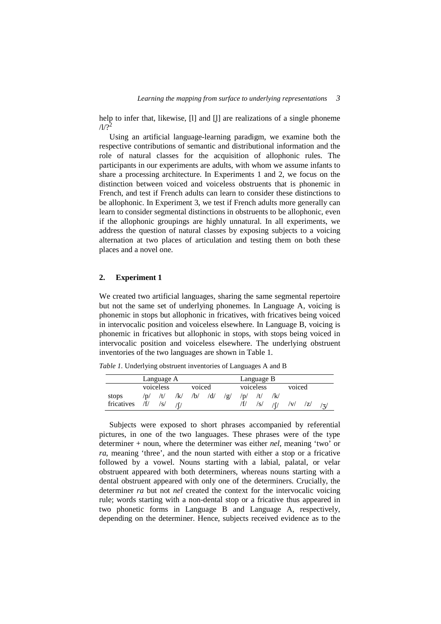help to infer that, likewise,  $\lceil \cdot \rceil$  and  $\lceil \cdot \rceil$  are realizations of a single phoneme  $1/2<sup>2</sup>$ 

Using an artificial language-learning paradigm, we examine both the respective contributions of semantic and distributional information and the role of natural classes for the acquisition of allophonic rules. The participants in our experiments are adults, with whom we assume infants to share a processing architecture. In Experiments 1 and 2, we focus on the distinction between voiced and voiceless obstruents that is phonemic in French, and test if French adults can learn to consider these distinctions to be allophonic. In Experiment 3, we test if French adults more generally can learn to consider segmental distinctions in obstruents to be allophonic, even if the allophonic groupings are highly unnatural. In all experiments, we address the question of natural classes by exposing subjects to a voicing alternation at two places of articulation and testing them on both these places and a novel one.

### **2. Experiment 1**

We created two artificial languages, sharing the same segmental repertoire but not the same set of underlying phonemes. In Language A, voicing is phonemic in stops but allophonic in fricatives, with fricatives being voiced in intervocalic position and voiceless elsewhere. In Language B, voicing is phonemic in fricatives but allophonic in stops, with stops being voiced in intervocalic position and voiceless elsewhere. The underlying obstruent inventories of the two languages are shown in Table 1.

*Table 1.* Underlying obstruent inventories of Languages A and B

|            | Language A |           |            |        | Language B |     |             |           |     |        |   |     |
|------------|------------|-----------|------------|--------|------------|-----|-------------|-----------|-----|--------|---|-----|
|            |            | voiceless |            | voiced |            |     |             | voiceless |     | voiced |   |     |
| stops      | /D/        | /t/       | $\sqrt{k}$ | /b/    | /d/        | /ջ/ | $\sqrt{D}/$ |           | /k/ |        |   |     |
| fricatives |            |           |            |        |            |     |             | /s/       |     |        | Z | /z/ |

Subjects were exposed to short phrases accompanied by referential pictures, in one of the two languages. These phrases were of the type determiner + noun, where the determiner was either *nel*, meaning 'two' or *ra*, meaning 'three', and the noun started with either a stop or a fricative followed by a vowel. Nouns starting with a labial, palatal, or velar obstruent appeared with both determiners, whereas nouns starting with a dental obstruent appeared with only one of the determiners. Crucially, the determiner *ra* but not *nel* created the context for the intervocalic voicing rule; words starting with a non-dental stop or a fricative thus appeared in two phonetic forms in Language B and Language A, respectively, depending on the determiner. Hence, subjects received evidence as to the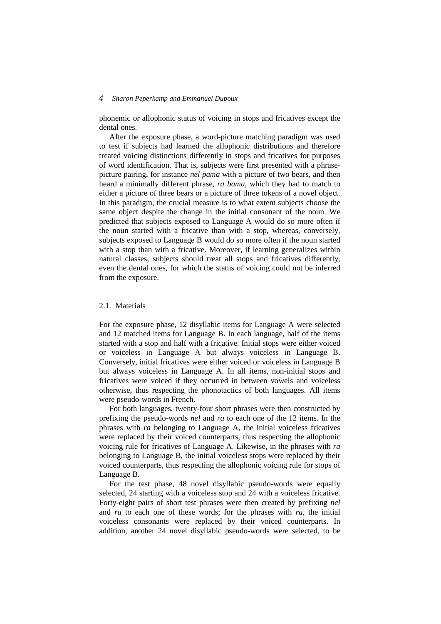phonemic or allophonic status of voicing in stops and fricatives except the dental ones.

After the exposure phase, a word-picture matching paradigm was used to test if subjects had learned the allophonic distributions and therefore treated voicing distinctions differently in stops and fricatives for purposes of word identification. That is, subjects were first presented with a phrasepicture pairing, for instance *nel pama* with a picture of two bears, and then heard a minimally different phrase, *ra bama*, which they had to match to either a picture of three bears or a picture of three tokens of a novel object. In this paradigm, the crucial measure is to what extent subjects choose the same object despite the change in the initial consonant of the noun. We predicted that subjects exposed to Language A would do so more often if the noun started with a fricative than with a stop, whereas, conversely, subjects exposed to Language B would do so more often if the noun started with a stop than with a fricative. Moreover, if learning generalizes within natural classes, subjects should treat all stops and fricatives differently, even the dental ones, for which the status of voicing could not be inferred from the exposure.

### 2.1 Materials

For the exposure phase, 12 disyllabic items for Language A were selected and 12 matched items for Language B. In each language, half of the items started with a stop and half with a fricative. Initial stops were either voiced or voiceless in Language A but always voiceless in Language B. Conversely, initial fricatives were either voiced or voiceless in Language B but always voiceless in Language A. In all items, non-initial stops and fricatives were voiced if they occurred in between vowels and voiceless otherwise, thus respecting the phonotactics of both languages. All items were pseudo-words in French.

For both languages, twenty-four short phrases were then constructed by prefixing the pseudo-words *nel* and *ra* to each one of the 12 items. In the phrases with *ra* belonging to Language A, the initial voiceless fricatives were replaced by their voiced counterparts, thus respecting the allophonic voicing rule for fricatives of Language A. Likewise, in the phrases with *ra* belonging to Language B, the initial voiceless stops were replaced by their voiced counterparts, thus respecting the allophonic voicing rule for stops of Language B.

For the test phase, 48 novel disyllabic pseudo-words were equally selected, 24 starting with a voiceless stop and 24 with a voiceless fricative. Forty-eight pairs of short test phrases were then created by prefixing *nel* and *ra* to each one of these words; for the phrases with *ra*, the initial voiceless consonants were replaced by their voiced counterparts. In addition, another 24 novel disyllabic pseudo-words were selected, to be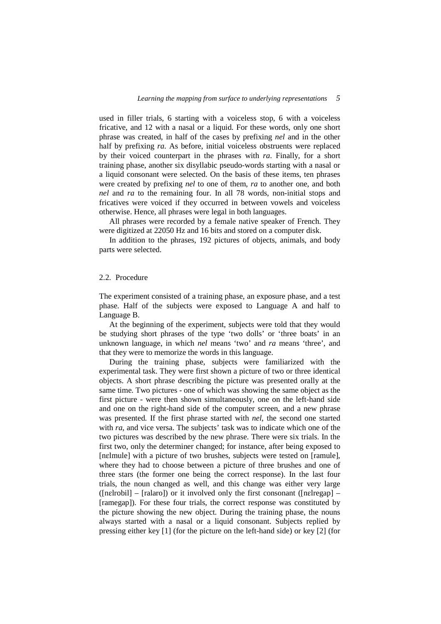used in filler trials, 6 starting with a voiceless stop, 6 with a voiceless fricative, and 12 with a nasal or a liquid. For these words, only one short phrase was created, in half of the cases by prefixing *nel* and in the other half by prefixing *ra*. As before, initial voiceless obstruents were replaced by their voiced counterpart in the phrases with *ra*. Finally, for a short training phase, another six disyllabic pseudo-words starting with a nasal or a liquid consonant were selected. On the basis of these items, ten phrases were created by prefixing *nel* to one of them, *ra* to another one, and both *nel* and *ra* to the remaining four. In all 78 words, non-initial stops and fricatives were voiced if they occurred in between vowels and voiceless otherwise. Hence, all phrases were legal in both languages.

All phrases were recorded by a female native speaker of French. They were digitized at 22050 Hz and 16 bits and stored on a computer disk.

In addition to the phrases, 192 pictures of objects, animals, and body parts were selected.

### 2.2. Procedure

The experiment consisted of a training phase, an exposure phase, and a test phase. Half of the subjects were exposed to Language A and half to Language B.

At the beginning of the experiment, subjects were told that they would be studying short phrases of the type 'two dolls' or 'three boats' in an unknown language, in which *nel* means 'two' and *ra* means 'three', and that they were to memorize the words in this language.

During the training phase, subjects were familiarized with the experimental task. They were first shown a picture of two or three identical objects. A short phrase describing the picture was presented orally at the same time. Two pictures - one of which was showing the same object as the first picture - were then shown simultaneously, one on the left-hand side and one on the right-hand side of the computer screen, and a new phrase was presented. If the first phrase started with *nel*, the second one started with *ra*, and vice versa. The subjects' task was to indicate which one of the two pictures was described by the new phrase. There were six trials. In the first two, only the determiner changed; for instance, after being exposed to [nelmule] with a picture of two brushes, subjects were tested on [ramule], where they had to choose between a picture of three brushes and one of three stars (the former one being the correct response). In the last four trials, the noun changed as well, and this change was either very large  $($ [nelrobil] – [ralaro]) or it involved only the first consonant  $($ [nelregap] – [ramegap]). For these four trials, the correct response was constituted by the picture showing the new object. During the training phase, the nouns always started with a nasal or a liquid consonant. Subjects replied by pressing either key [1] (for the picture on the left-hand side) or key [2] (for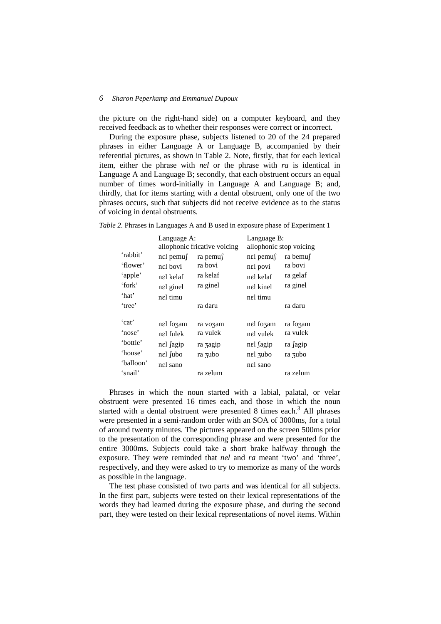the picture on the right-hand side) on a computer keyboard, and they received feedback as to whether their responses were correct or incorrect.

During the exposure phase, subjects listened to 20 of the 24 prepared phrases in either Language A or Language B, accompanied by their referential pictures, as shown in Table 2. Note, firstly, that for each lexical item, either the phrase with *nel* or the phrase with *ra* is identical in Language A and Language B; secondly, that each obstruent occurs an equal number of times word-initially in Language A and Language B; and, thirdly, that for items starting with a dental obstruent, only one of the two phrases occurs, such that subjects did not receive evidence as to the status of voicing in dental obstruents.

| Table 2. Phrases in Languages A and B used in exposure phase of Experiment 1 |  |  |
|------------------------------------------------------------------------------|--|--|
|------------------------------------------------------------------------------|--|--|

|           | Language A:              |                              | Language B:              |          |  |  |
|-----------|--------------------------|------------------------------|--------------------------|----------|--|--|
|           |                          | allophonic fricative voicing | allophonic stop voicing  |          |  |  |
| 'rabbit'  | $n \in \mathbb{R}$ pemus | ra pemu∫                     | $n \in \mathbb{R}$ pemus | ra bemu∫ |  |  |
| 'flower'  | nel bovi                 | ra bovi                      | nel povi                 | ra bovi  |  |  |
| 'apple'   | nel kelaf                | ra kelaf                     | nel kelaf                | ra gelaf |  |  |
| 'fork'    | nel ginel                | ra ginel                     | nel kinel                | ra ginel |  |  |
| 'hat'     | nel timu                 |                              | nel timu                 |          |  |  |
| 'tree'    |                          | ra daru                      |                          | ra daru  |  |  |
|           |                          |                              |                          |          |  |  |
| 'cat'     | nel fozam                | ra vozam                     | nel fozam                | ra fozam |  |  |
| 'nose'    | nel fulek                | ra vulek                     | nel vulek                | ra vulek |  |  |
| 'bottle'  | nel sagip                | ra zagip                     | nel <i>fagip</i>         | ra fagip |  |  |
| 'house'   | nel fubo                 | ra zubo                      | nel zubo                 | ra zubo  |  |  |
| 'balloon' | nel sano                 |                              | nel sano                 |          |  |  |
| 'snail'   |                          | ra zelum                     |                          | ra zelum |  |  |

Phrases in which the noun started with a labial, palatal, or velar obstruent were presented 16 times each, and those in which the noun started with a dental obstruent were presented  $8$  times each.<sup>3</sup> All phrases were presented in a semi-random order with an SOA of 3000ms, for a total of around twenty minutes. The pictures appeared on the screen 500ms prior to the presentation of the corresponding phrase and were presented for the entire 3000ms. Subjects could take a short brake halfway through the exposure. They were reminded that *nel* and *ra* meant 'two' and 'three', respectively, and they were asked to try to memorize as many of the words as possible in the language.

The test phase consisted of two parts and was identical for all subjects. In the first part, subjects were tested on their lexical representations of the words they had learned during the exposure phase, and during the second part, they were tested on their lexical representations of novel items. Within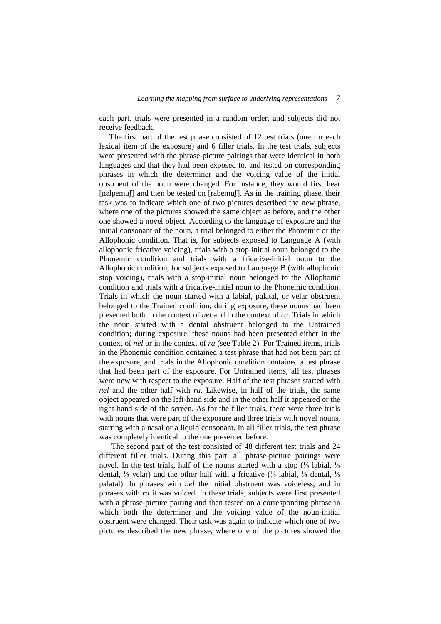each part, trials were presented in a random order, and subjects did not receive feedback.

The first part of the test phase consisted of 12 test trials (one for each lexical item of the exposure) and 6 filler trials. In the test trials, subjects were presented with the phrase-picture pairings that were identical in both languages and that they had been exposed to, and tested on corresponding phrases in which the determiner and the voicing value of the initial obstruent of the noun were changed. For instance, they would first hear  $[nebemu]$  and then be tested on  $[rabemu]$ . As in the training phase, their task was to indicate which one of two pictures described the new phrase, where one of the pictures showed the same object as before, and the other one showed a novel object. According to the language of exposure and the initial consonant of the noun, a trial belonged to either the Phonemic or the Allophonic condition. That is, for subjects exposed to Language A (with allophonic fricative voicing), trials with a stop-initial noun belonged to the Phonemic condition and trials with a fricative-initial noun to the Allophonic condition; for subjects exposed to Language B (with allophonic stop voicing), trials with a stop-initial noun belonged to the Allophonic condition and trials with a fricative-initial noun to the Phonemic condition. Trials in which the noun started with a labial, palatal, or velar obstruent belonged to the Trained condition; during exposure, these nouns had been presented both in the context of *nel* and in the context of *ra*. Trials in which the noun started with a dental obstruent belonged to the Untrained condition; during exposure, these nouns had been presented either in the context of *nel* or in the context of *ra* (see Table 2). For Trained items, trials in the Phonemic condition contained a test phrase that had not been part of the exposure, and trials in the Allophonic condition contained a test phrase that had been part of the exposure. For Untrained items, all test phrases were new with respect to the exposure. Half of the test phrases started with *nel* and the other half with *ra*. Likewise, in half of the trials, the same object appeared on the left-hand side and in the other half it appeared or the right-hand side of the screen. As for the filler trials, there were three trials with nouns that were part of the exposure and three trials with novel nouns, starting with a nasal or a liquid consonant. In all filler trials, the test phrase was completely identical to the one presented before.

 The second part of the test consisted of 48 different test trials and 24 different filler trials. During this part, all phrase-picture pairings were novel. In the test trials, half of the nouns started with a stop  $\frac{1}{3}$  labial,  $\frac{1}{3}$ dental, ¼ velar) and the other half with a fricative  $\frac{1}{3}$  labial, ¼ dental, ¼ palatal). In phrases with *nel* the initial obstruent was voiceless, and in phrases with *ra* it was voiced. In these trials, subjects were first presented with a phrase-picture pairing and then tested on a corresponding phrase in which both the determiner and the voicing value of the noun-initial obstruent were changed. Their task was again to indicate which one of two pictures described the new phrase, where one of the pictures showed the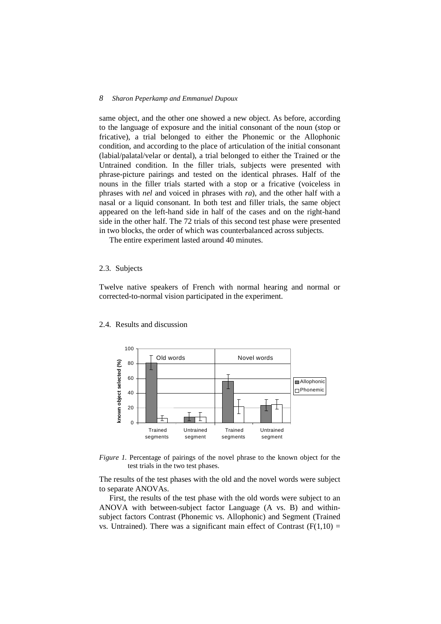same object, and the other one showed a new object. As before, according to the language of exposure and the initial consonant of the noun (stop or fricative), a trial belonged to either the Phonemic or the Allophonic condition, and according to the place of articulation of the initial consonant (labial/palatal/velar or dental), a trial belonged to either the Trained or the Untrained condition. In the filler trials, subjects were presented with phrase-picture pairings and tested on the identical phrases. Half of the nouns in the filler trials started with a stop or a fricative (voiceless in phrases with *nel* and voiced in phrases with *ra*), and the other half with a nasal or a liquid consonant. In both test and filler trials, the same object appeared on the left-hand side in half of the cases and on the right-hand side in the other half. The 72 trials of this second test phase were presented in two blocks, the order of which was counterbalanced across subjects.

The entire experiment lasted around 40 minutes.

### 2.3. Subjects

Twelve native speakers of French with normal hearing and normal or corrected-to-normal vision participated in the experiment.



### 2.4. Results and discussion

*Figure 1.* Percentage of pairings of the novel phrase to the known object for the test trials in the two test phases.

The results of the test phases with the old and the novel words were subject to separate ANOVAs.

First, the results of the test phase with the old words were subject to an ANOVA with between-subject factor Language (A vs. B) and withinsubject factors Contrast (Phonemic vs. Allophonic) and Segment (Trained vs. Untrained). There was a significant main effect of Contrast  $(F(1,10) =$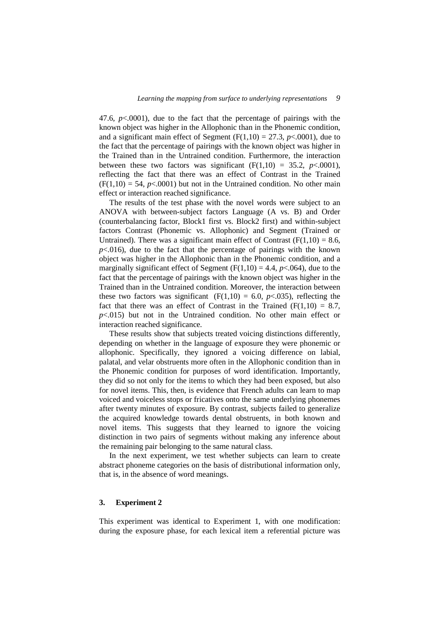47.6,  $p<.0001$ ), due to the fact that the percentage of pairings with the known object was higher in the Allophonic than in the Phonemic condition, and a significant main effect of Segment  $(F(1,10) = 27.3, p < .0001)$ , due to the fact that the percentage of pairings with the known object was higher in the Trained than in the Untrained condition. Furthermore, the interaction between these two factors was significant  $(F(1,10) = 35.2, p<0.001)$ , reflecting the fact that there was an effect of Contrast in the Trained  $(F(1,10) = 54, p<0.001)$  but not in the Untrained condition. No other main effect or interaction reached significance.

The results of the test phase with the novel words were subject to an ANOVA with between-subject factors Language (A vs. B) and Order (counterbalancing factor, Block1 first vs. Block2 first) and within-subject factors Contrast (Phonemic vs. Allophonic) and Segment (Trained or Untrained). There was a significant main effect of Contrast  $(F(1,10) = 8.6,$  $p<.016$ ), due to the fact that the percentage of pairings with the known object was higher in the Allophonic than in the Phonemic condition, and a marginally significant effect of Segment  $(F(1,10) = 4.4, p < .064)$ , due to the fact that the percentage of pairings with the known object was higher in the Trained than in the Untrained condition. Moreover, the interaction between these two factors was significant  $(F(1,10) = 6.0, p<0.035)$ , reflecting the fact that there was an effect of Contrast in the Trained ( $F(1,10) = 8.7$ , *p*<.015) but not in the Untrained condition. No other main effect or interaction reached significance.

These results show that subjects treated voicing distinctions differently, depending on whether in the language of exposure they were phonemic or allophonic. Specifically, they ignored a voicing difference on labial, palatal, and velar obstruents more often in the Allophonic condition than in the Phonemic condition for purposes of word identification. Importantly, they did so not only for the items to which they had been exposed, but also for novel items. This, then, is evidence that French adults can learn to map voiced and voiceless stops or fricatives onto the same underlying phonemes after twenty minutes of exposure. By contrast, subjects failed to generalize the acquired knowledge towards dental obstruents, in both known and novel items. This suggests that they learned to ignore the voicing distinction in two pairs of segments without making any inference about the remaining pair belonging to the same natural class.

In the next experiment, we test whether subjects can learn to create abstract phoneme categories on the basis of distributional information only, that is, in the absence of word meanings.

### **3. Experiment 2**

This experiment was identical to Experiment 1, with one modification: during the exposure phase, for each lexical item a referential picture was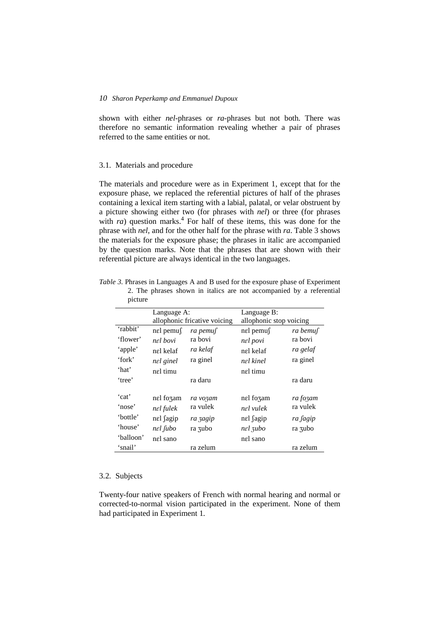shown with either *nel*-phrases or *ra-*phrases but not both. There was therefore no semantic information revealing whether a pair of phrases referred to the same entities or not.

### 3.1. Materials and procedure

The materials and procedure were as in Experiment 1, except that for the exposure phase, we replaced the referential pictures of half of the phrases containing a lexical item starting with a labial, palatal, or velar obstruent by a picture showing either two (for phrases with *nel*) or three (for phrases with *ra*) question marks.<sup>4</sup> For half of these items, this was done for the phrase with *nel*, and for the other half for the phrase with *ra*. Table 3 shows the materials for the exposure phase; the phrases in italic are accompanied by the question marks. Note that the phrases that are shown with their referential picture are always identical in the two languages.

| picture   |              |                              |                         |          |  |  |  |
|-----------|--------------|------------------------------|-------------------------|----------|--|--|--|
|           | Language A:  |                              | Language B:             |          |  |  |  |
|           |              | allophonic fricative voicing | allophonic stop voicing |          |  |  |  |
| 'rabbit'  | $n$ el pemus | ra pemuf                     | nel pemu∫               | ra bemuf |  |  |  |
| 'flower'  | nel bovi     | ra bovi                      | nel povi                | ra bovi  |  |  |  |
| 'apple'   | nel kelaf    | ra kelaf                     | nel kelaf               | ra gelaf |  |  |  |
| 'fork'    | nel ginel    | ra ginel                     | nel kinel               | ra ginel |  |  |  |
| 'hat'     | nel timu     |                              | nel timu                |          |  |  |  |
| 'tree'    |              | ra daru                      |                         | ra daru  |  |  |  |
| 'cat'     | nel fozam    | ra vozam                     | nel fozam               | ra fozam |  |  |  |
| 'nose'    | nel fulek    | ra vulek                     | nel vulek               | ra vulek |  |  |  |
| 'bottle'  | nel fagip    | ra zagip                     | nel <i>fagip</i>        | ra fagip |  |  |  |
| 'house'   | nel fubo     | ra zubo                      | nel 3ubo                | ra zubo  |  |  |  |
| 'balloon' | nel sano     |                              | nel sano                |          |  |  |  |
| 'snail'   |              | ra zelum                     |                         | ra zelum |  |  |  |

*Table 3.* Phrases in Languages A and B used for the exposure phase of Experiment 2. The phrases shown in italics are not accompanied by a referential picture

### 3.2. Subjects

Twenty-four native speakers of French with normal hearing and normal or corrected-to-normal vision participated in the experiment. None of them had participated in Experiment 1.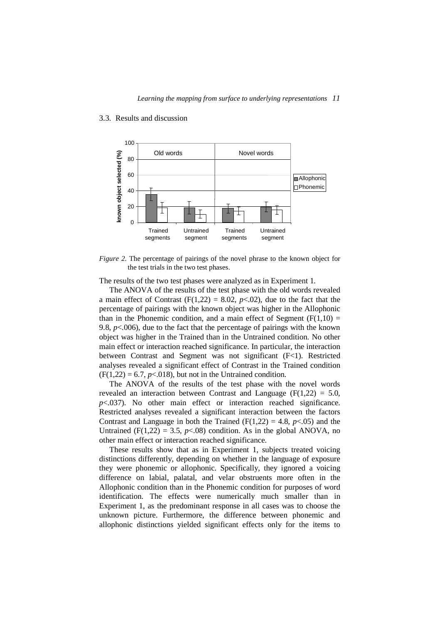

### 3.3. Results and discussion

*Figure 2.* The percentage of pairings of the novel phrase to the known object for the test trials in the two test phases.

The results of the two test phases were analyzed as in Experiment 1.

The ANOVA of the results of the test phase with the old words revealed a main effect of Contrast  $(F(1,22) = 8.02, p<0.02)$ , due to the fact that the percentage of pairings with the known object was higher in the Allophonic than in the Phonemic condition, and a main effect of Segment  $(F(1,10) =$ 9.8,  $p<.006$ ), due to the fact that the percentage of pairings with the known object was higher in the Trained than in the Untrained condition. No other main effect or interaction reached significance. In particular, the interaction between Contrast and Segment was not significant (F<1). Restricted analyses revealed a significant effect of Contrast in the Trained condition  $(F(1,22) = 6.7, p<0.18)$ , but not in the Untrained condition.

The ANOVA of the results of the test phase with the novel words revealed an interaction between Contrast and Language ( $F(1,22) = 5.0$ , *p*<.037). No other main effect or interaction reached significance. Restricted analyses revealed a significant interaction between the factors Contrast and Language in both the Trained  $(F(1,22) = 4.8, p<0.05)$  and the Untrained ( $F(1,22) = 3.5$ ,  $p \le 0.08$ ) condition. As in the global ANOVA, no other main effect or interaction reached significance.

These results show that as in Experiment 1, subjects treated voicing distinctions differently, depending on whether in the language of exposure they were phonemic or allophonic. Specifically, they ignored a voicing difference on labial, palatal, and velar obstruents more often in the Allophonic condition than in the Phonemic condition for purposes of word identification. The effects were numerically much smaller than in Experiment 1, as the predominant response in all cases was to choose the unknown picture. Furthermore, the difference between phonemic and allophonic distinctions yielded significant effects only for the items to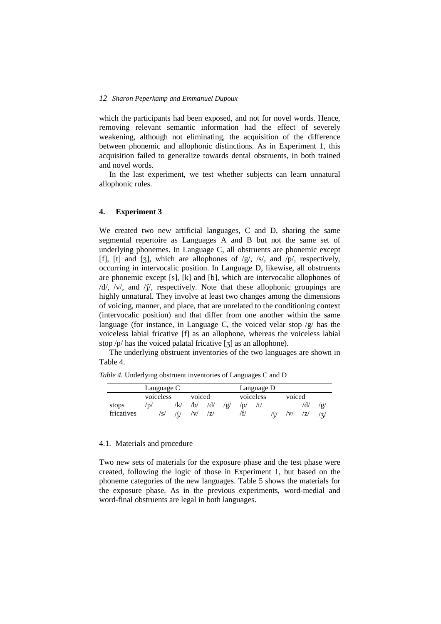which the participants had been exposed, and not for novel words. Hence, removing relevant semantic information had the effect of severely weakening, although not eliminating, the acquisition of the difference between phonemic and allophonic distinctions. As in Experiment 1, this acquisition failed to generalize towards dental obstruents, in both trained and novel words.

In the last experiment, we test whether subjects can learn unnatural allophonic rules.

### **4. Experiment 3**

We created two new artificial languages, C and D, sharing the same segmental repertoire as Languages A and B but not the same set of underlying phonemes. In Language C, all obstruents are phonemic except [f], [t] and [ $\overline{z}$ ], which are allophones of /g/, /s/, and /p/, respectively, occurring in intervocalic position. In Language D, likewise, all obstruents are phonemic except [s], [k] and [b], which are intervocalic allophones of  $/d/$ ,  $/v/$ , and  $/f/$ , respectively. Note that these allophonic groupings are highly unnatural. They involve at least two changes among the dimensions of voicing, manner, and place, that are unrelated to the conditioning context (intervocalic position) and that differ from one another within the same language (for instance, in Language C, the voiced velar stop  $/g$  has the voiceless labial fricative [f] as an allophone, whereas the voiceless labial stop  $/p$  has the voiced palatal fricative [ $\overline{3}$ ] as an allophone).

The underlying obstruent inventories of the two languages are shown in Table 4.

*Table 4.* Underlying obstruent inventories of Languages C and D

|            | Language C |     |        |     |      | Language D |           |  |        |     |               |
|------------|------------|-----|--------|-----|------|------------|-----------|--|--------|-----|---------------|
|            | voiceless  |     | voiced |     |      |            | voiceless |  | voiced |     |               |
| stops      | 'd/        | 'k/ | /b/    | /d/ | ี 2/ | 'D/        |           |  |        | /d/ | 'Q/           |
| fricatives | 's/        |     | 'v/    | 71  |      |            |           |  |        | ודי | $\rightarrow$ |

### 4.1. Materials and procedure

Two new sets of materials for the exposure phase and the test phase were created, following the logic of those in Experiment 1, but based on the phoneme categories of the new languages. Table 5 shows the materials for the exposure phase. As in the previous experiments, word-medial and word-final obstruents are legal in both languages.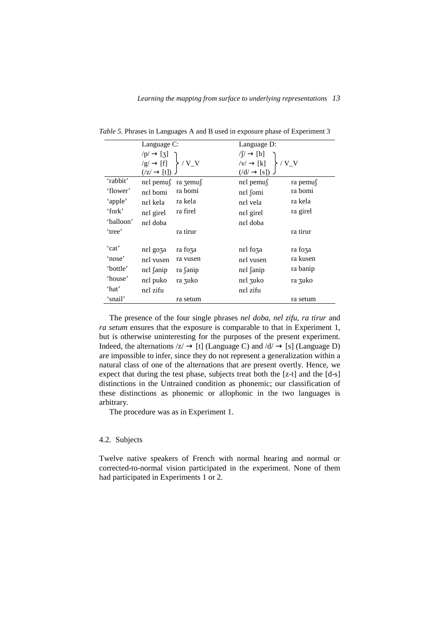|           | Language C:                                                                                                              |          | Language D:                                                                                              |          |  |  |
|-----------|--------------------------------------------------------------------------------------------------------------------------|----------|----------------------------------------------------------------------------------------------------------|----------|--|--|
|           | $\begin{array}{c} \n\sqrt{p} \rightarrow [3] \\ \sqrt{g} \rightarrow [f] \\ \sqrt{z} \rightarrow [t]\n\end{array}$ / V_V |          | $\sqrt{(y/\rightarrow [b])}$<br>$\sqrt{(y/\rightarrow [k])}$ / V_V<br>$\sqrt{(d/\rightarrow [s])}$ / V_V |          |  |  |
|           |                                                                                                                          |          |                                                                                                          |          |  |  |
|           |                                                                                                                          |          |                                                                                                          |          |  |  |
| 'rabbit'  | nel pemu∫ ra zemu∫                                                                                                       |          | $n \in \mathbb{R}$ pemus                                                                                 | ra pemu∫ |  |  |
| 'flower'  | nel bomi                                                                                                                 | ra bomi  | nel fomi                                                                                                 | ra bomi  |  |  |
| 'apple'   | nel kela                                                                                                                 | ra kela  | nel vela                                                                                                 | ra kela  |  |  |
| 'fork'    | nel girel                                                                                                                | ra firel | nel girel                                                                                                | ra girel |  |  |
| 'balloon' | nel doba                                                                                                                 |          | nel doba                                                                                                 |          |  |  |
| 'tree'    |                                                                                                                          | ra tirur |                                                                                                          | ra tirur |  |  |
| 'cat'     | nel goza                                                                                                                 | ra foza  | nel foza                                                                                                 | ra foza  |  |  |
| 'nose'    | nel vusen                                                                                                                | ra vusen | nel vusen                                                                                                | ra kusen |  |  |
| 'bottle'  | nel fanip                                                                                                                | ra fanip | nel fanip                                                                                                | ra banip |  |  |
| 'house'   | nel puko                                                                                                                 | ra zuko  | nel zuko                                                                                                 | ra zuko  |  |  |
| 'hat'     | nel zifu                                                                                                                 |          | nel zifu                                                                                                 |          |  |  |
| 'snail'   |                                                                                                                          | ra setum |                                                                                                          | ra setum |  |  |

*Table 5.* Phrases in Languages A and B used in exposure phase of Experiment 3

The presence of the four single phrases *nel doba*, *nel zifu*, *ra tirur* and *ra setum* ensures that the exposure is comparable to that in Experiment 1, but is otherwise uninteresting for the purposes of the present experiment. Indeed, the alternations  $|z| \to [t]$  (Language C) and  $|d| \to [s]$  (Language D) are impossible to infer, since they do not represent a generalization within a natural class of one of the alternations that are present overtly. Hence, we expect that during the test phase, subjects treat both the [z-t] and the [d-s] distinctions in the Untrained condition as phonemic; our classification of these distinctions as phonemic or allophonic in the two languages is arbitrary.

The procedure was as in Experiment 1.

### 4.2. Subjects

Twelve native speakers of French with normal hearing and normal or corrected-to-normal vision participated in the experiment. None of them had participated in Experiments 1 or 2.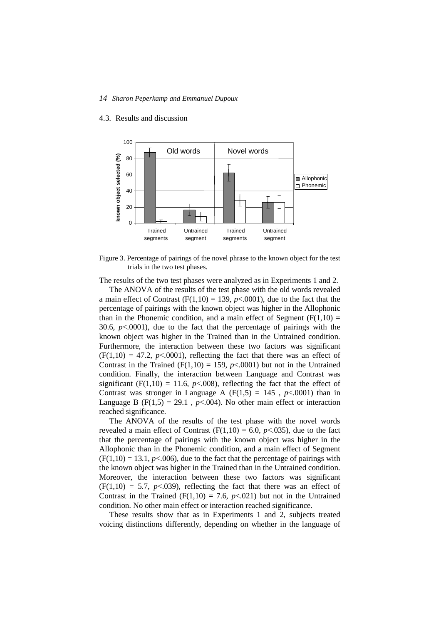### 4.3. Results and discussion



Figure 3. Percentage of pairings of the novel phrase to the known object for the test trials in the two test phases.

The results of the two test phases were analyzed as in Experiments 1 and 2.

The ANOVA of the results of the test phase with the old words revealed a main effect of Contrast  $(F(1,10) = 139, p<0.001)$ , due to the fact that the percentage of pairings with the known object was higher in the Allophonic than in the Phonemic condition, and a main effect of Segment  $(F(1,10) =$ 30.6, *p*<.0001), due to the fact that the percentage of pairings with the known object was higher in the Trained than in the Untrained condition. Furthermore, the interaction between these two factors was significant  $(F(1,10) = 47.2, p<0.001)$ , reflecting the fact that there was an effect of Contrast in the Trained  $(F(1,10) = 159, p<0.001)$  but not in the Untrained condition. Finally, the interaction between Language and Contrast was significant (F(1,10) = 11.6,  $p<0.008$ ), reflecting the fact that the effect of Contrast was stronger in Language A  $(F(1,5) = 145, p<.0001)$  than in Language B ( $F(1,5) = 29.1$ ,  $p < .004$ ). No other main effect or interaction reached significance.

The ANOVA of the results of the test phase with the novel words revealed a main effect of Contrast  $(F(1,10) = 6.0, p<0.035)$ , due to the fact that the percentage of pairings with the known object was higher in the Allophonic than in the Phonemic condition, and a main effect of Segment  $(F(1,10) = 13.1, p<0.006)$ , due to the fact that the percentage of pairings with the known object was higher in the Trained than in the Untrained condition. Moreover, the interaction between these two factors was significant  $(F(1,10) = 5.7, p<0.039)$ , reflecting the fact that there was an effect of Contrast in the Trained ( $F(1,10) = 7.6$ ,  $p<0.021$ ) but not in the Untrained condition. No other main effect or interaction reached significance.

These results show that as in Experiments 1 and 2, subjects treated voicing distinctions differently, depending on whether in the language of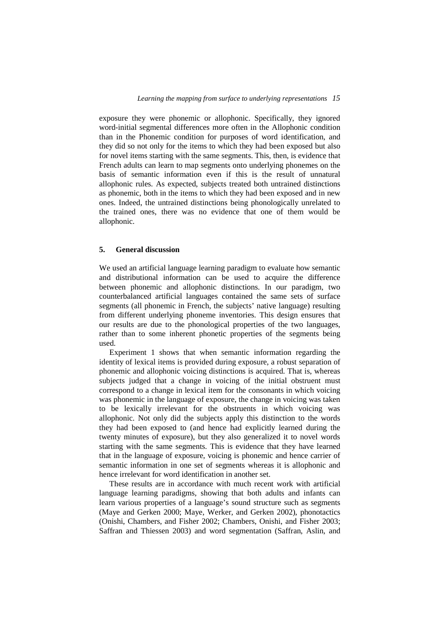exposure they were phonemic or allophonic. Specifically, they ignored word-initial segmental differences more often in the Allophonic condition than in the Phonemic condition for purposes of word identification, and they did so not only for the items to which they had been exposed but also for novel items starting with the same segments. This, then, is evidence that French adults can learn to map segments onto underlying phonemes on the basis of semantic information even if this is the result of unnatural allophonic rules. As expected, subjects treated both untrained distinctions as phonemic, both in the items to which they had been exposed and in new ones. Indeed, the untrained distinctions being phonologically unrelated to the trained ones, there was no evidence that one of them would be allophonic.

### **5. General discussion**

We used an artificial language learning paradigm to evaluate how semantic and distributional information can be used to acquire the difference between phonemic and allophonic distinctions. In our paradigm, two counterbalanced artificial languages contained the same sets of surface segments (all phonemic in French, the subjects' native language) resulting from different underlying phoneme inventories. This design ensures that our results are due to the phonological properties of the two languages, rather than to some inherent phonetic properties of the segments being used.

Experiment 1 shows that when semantic information regarding the identity of lexical items is provided during exposure, a robust separation of phonemic and allophonic voicing distinctions is acquired. That is, whereas subjects judged that a change in voicing of the initial obstruent must correspond to a change in lexical item for the consonants in which voicing was phonemic in the language of exposure, the change in voicing was taken to be lexically irrelevant for the obstruents in which voicing was allophonic. Not only did the subjects apply this distinction to the words they had been exposed to (and hence had explicitly learned during the twenty minutes of exposure), but they also generalized it to novel words starting with the same segments. This is evidence that they have learned that in the language of exposure, voicing is phonemic and hence carrier of semantic information in one set of segments whereas it is allophonic and hence irrelevant for word identification in another set.

These results are in accordance with much recent work with artificial language learning paradigms, showing that both adults and infants can learn various properties of a language's sound structure such as segments (Maye and Gerken 2000; Maye, Werker, and Gerken 2002), phonotactics (Onishi, Chambers, and Fisher 2002; Chambers, Onishi, and Fisher 2003; Saffran and Thiessen 2003) and word segmentation (Saffran, Aslin, and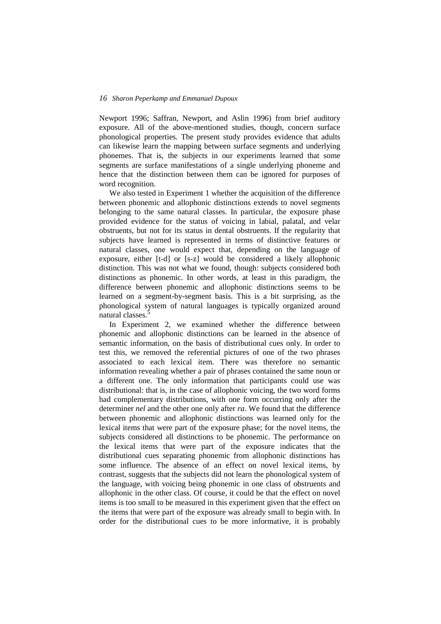Newport 1996; Saffran, Newport, and Aslin 1996) from brief auditory exposure. All of the above-mentioned studies, though, concern surface phonological properties. The present study provides evidence that adults can likewise learn the mapping between surface segments and underlying phonemes. That is, the subjects in our experiments learned that some segments are surface manifestations of a single underlying phoneme and hence that the distinction between them can be ignored for purposes of word recognition.

We also tested in Experiment 1 whether the acquisition of the difference between phonemic and allophonic distinctions extends to novel segments belonging to the same natural classes. In particular, the exposure phase provided evidence for the status of voicing in labial, palatal, and velar obstruents, but not for its status in dental obstruents. If the regularity that subjects have learned is represented in terms of distinctive features or natural classes, one would expect that, depending on the language of exposure, either [t-d] or [s-z] would be considered a likely allophonic distinction. This was not what we found, though: subjects considered both distinctions as phonemic. In other words, at least in this paradigm, the difference between phonemic and allophonic distinctions seems to be learned on a segment-by-segment basis. This is a bit surprising, as the phonological system of natural languages is typically organized around natural classes.<sup>5</sup>

In Experiment 2, we examined whether the difference between phonemic and allophonic distinctions can be learned in the absence of semantic information, on the basis of distributional cues only. In order to test this, we removed the referential pictures of one of the two phrases associated to each lexical item. There was therefore no semantic information revealing whether a pair of phrases contained the same noun or a different one. The only information that participants could use was distributional: that is, in the case of allophonic voicing, the two word forms had complementary distributions, with one form occurring only after the determiner *nel* and the other one only after *ra*. We found that the difference between phonemic and allophonic distinctions was learned only for the lexical items that were part of the exposure phase; for the novel items, the subjects considered all distinctions to be phonemic. The performance on the lexical items that were part of the exposure indicates that the distributional cues separating phonemic from allophonic distinctions has some influence. The absence of an effect on novel lexical items, by contrast, suggests that the subjects did not learn the phonological system of the language, with voicing being phonemic in one class of obstruents and allophonic in the other class. Of course, it could be that the effect on novel items is too small to be measured in this experiment given that the effect on the items that were part of the exposure was already small to begin with. In order for the distributional cues to be more informative, it is probably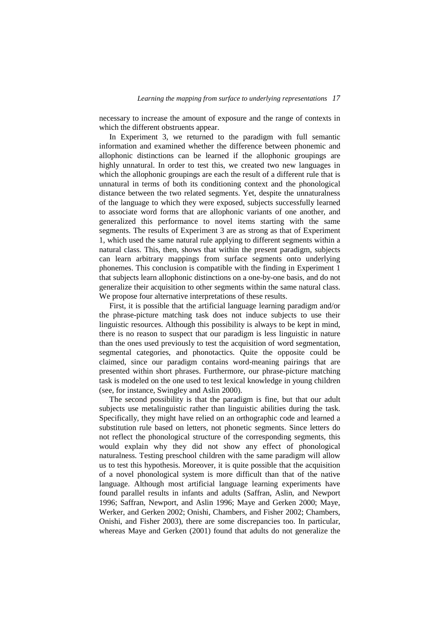necessary to increase the amount of exposure and the range of contexts in which the different obstruents appear.

In Experiment 3, we returned to the paradigm with full semantic information and examined whether the difference between phonemic and allophonic distinctions can be learned if the allophonic groupings are highly unnatural. In order to test this, we created two new languages in which the allophonic groupings are each the result of a different rule that is unnatural in terms of both its conditioning context and the phonological distance between the two related segments. Yet, despite the unnaturalness of the language to which they were exposed, subjects successfully learned to associate word forms that are allophonic variants of one another, and generalized this performance to novel items starting with the same segments. The results of Experiment 3 are as strong as that of Experiment 1, which used the same natural rule applying to different segments within a natural class. This, then, shows that within the present paradigm, subjects can learn arbitrary mappings from surface segments onto underlying phonemes. This conclusion is compatible with the finding in Experiment 1 that subjects learn allophonic distinctions on a one-by-one basis, and do not generalize their acquisition to other segments within the same natural class. We propose four alternative interpretations of these results.

First, it is possible that the artificial language learning paradigm and/or the phrase-picture matching task does not induce subjects to use their linguistic resources. Although this possibility is always to be kept in mind, there is no reason to suspect that our paradigm is less linguistic in nature than the ones used previously to test the acquisition of word segmentation, segmental categories, and phonotactics. Quite the opposite could be claimed, since our paradigm contains word-meaning pairings that are presented within short phrases. Furthermore, our phrase-picture matching task is modeled on the one used to test lexical knowledge in young children (see, for instance, Swingley and Aslin 2000).

The second possibility is that the paradigm is fine, but that our adult subjects use metalinguistic rather than linguistic abilities during the task. Specifically, they might have relied on an orthographic code and learned a substitution rule based on letters, not phonetic segments. Since letters do not reflect the phonological structure of the corresponding segments, this would explain why they did not show any effect of phonological naturalness. Testing preschool children with the same paradigm will allow us to test this hypothesis. Moreover, it is quite possible that the acquisition of a novel phonological system is more difficult than that of the native language. Although most artificial language learning experiments have found parallel results in infants and adults (Saffran, Aslin, and Newport 1996; Saffran, Newport, and Aslin 1996; Maye and Gerken 2000; Maye, Werker, and Gerken 2002; Onishi, Chambers, and Fisher 2002; Chambers, Onishi, and Fisher 2003), there are some discrepancies too. In particular, whereas Maye and Gerken (2001) found that adults do not generalize the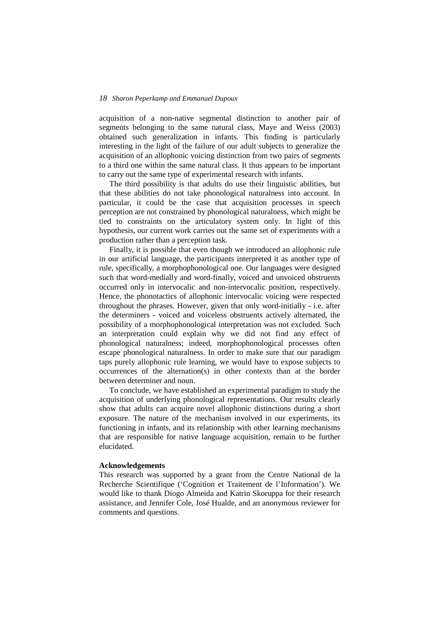acquisition of a non-native segmental distinction to another pair of segments belonging to the same natural class, Maye and Weiss (2003) obtained such generalization in infants. This finding is particularly interesting in the light of the failure of our adult subjects to generalize the acquisition of an allophonic voicing distinction from two pairs of segments to a third one within the same natural class. It thus appears to be important to carry out the same type of experimental research with infants.

The third possibility is that adults do use their linguistic abilities, but that these abilities do not take phonological naturalness into account. In particular, it could be the case that acquisition processes in speech perception are not constrained by phonological naturalness, which might be tied to constraints on the articulatory system only. In light of this hypothesis, our current work carries out the same set of experiments with a production rather than a perception task.

Finally, it is possible that even though we introduced an allophonic rule in our artificial language, the participants interpreted it as another type of rule, specifically, a morphophonological one. Our languages were designed such that word-medially and word-finally, voiced and unvoiced obstruents occurred only in intervocalic and non-intervocalic position, respectively. Hence, the phonotactics of allophonic intervocalic voicing were respected throughout the phrases. However, given that only word-initially - i.e. after the determiners - voiced and voiceless obstruents actively alternated, the possibility of a morphophonological interpretation was not excluded. Such an interpretation could explain why we did not find any effect of phonological naturalness; indeed, morphophonological processes often escape phonological naturalness. In order to make sure that our paradigm taps purely allophonic rule learning, we would have to expose subjects to occurrences of the alternation(s) in other contexts than at the border between determiner and noun.

To conclude, we have established an experimental paradigm to study the acquisition of underlying phonological representations. Our results clearly show that adults can acquire novel allophonic distinctions during a short exposure. The nature of the mechanism involved in our experiments, its functioning in infants, and its relationship with other learning mechanisms that are responsible for native language acquisition, remain to be further elucidated.

### **Acknowledgements**

This research was supported by a grant from the Centre National de la Recherche Scientifique ('Cognition et Traitement de l'Information'). We would like to thank Diogo Almeida and Katrin Skoruppa for their research assistance, and Jennifer Cole, José Hualde, and an anonymous reviewer for comments and questions.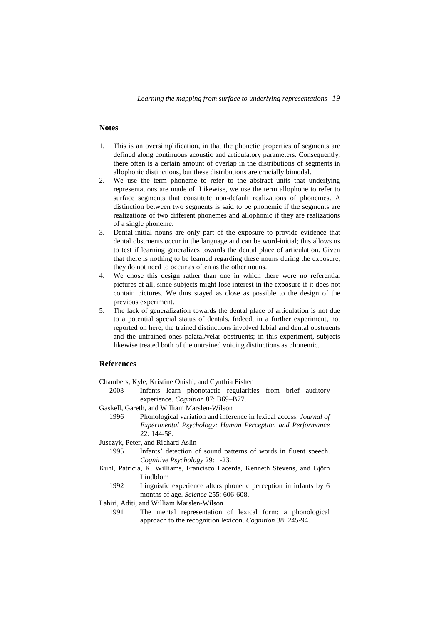*Learning the mapping from surface to underlying representations 19*

### **Notes**

- 1. This is an oversimplification, in that the phonetic properties of segments are defined along continuous acoustic and articulatory parameters. Consequently, there often is a certain amount of overlap in the distributions of segments in allophonic distinctions, but these distributions are crucially bimodal.
- 2. We use the term phoneme to refer to the abstract units that underlying representations are made of. Likewise, we use the term allophone to refer to surface segments that constitute non-default realizations of phonemes. A distinction between two segments is said to be phonemic if the segments are realizations of two different phonemes and allophonic if they are realizations of a single phoneme.
- 3. Dental-initial nouns are only part of the exposure to provide evidence that dental obstruents occur in the language and can be word-initial; this allows us to test if learning generalizes towards the dental place of articulation. Given that there is nothing to be learned regarding these nouns during the exposure, they do not need to occur as often as the other nouns.
- 4. We chose this design rather than one in which there were no referential pictures at all, since subjects might lose interest in the exposure if it does not contain pictures. We thus stayed as close as possible to the design of the previous experiment.
- 5. The lack of generalization towards the dental place of articulation is not due to a potential special status of dentals. Indeed, in a further experiment, not reported on here, the trained distinctions involved labial and dental obstruents and the untrained ones palatal/velar obstruents; in this experiment, subjects likewise treated both of the untrained voicing distinctions as phonemic.

### **References**

Chambers, Kyle, Kristine Onishi, and Cynthia Fisher

- 2003 Infants learn phonotactic regularities from brief auditory experience. *Cognition* 87: B69–B77.
- Gaskell, Gareth, and William Marslen-Wilson
	- 1996 Phonological variation and inference in lexical access. *Journal of Experimental Psychology: Human Perception and Performance* 22: 144-58.
- Jusczyk, Peter, and Richard Aslin
	- 1995 Infants' detection of sound patterns of words in fluent speech. *Cognitive Psychology* 29: 1-23.
- Kuhl, Patricia, K. Williams, Francisco Lacerda, Kenneth Stevens, and Björn Lindblom
	- 1992 Linguistic experience alters phonetic perception in infants by 6 months of age. *Science* 255: 606-608.
- Lahiri, Aditi, and William Marslen-Wilson
	- 1991 The mental representation of lexical form: a phonological approach to the recognition lexicon. *Cognition* 38: 245-94.